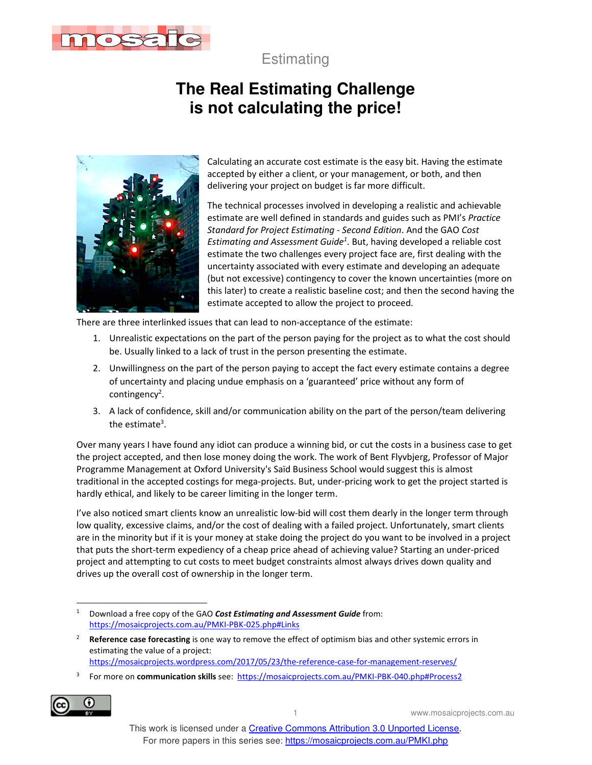

**Estimating** 

## **The Real Estimating Challenge is not calculating the price!**



Calculating an accurate cost estimate is the easy bit. Having the estimate accepted by either a client, or your management, or both, and then delivering your project on budget is far more difficult.

The technical processes involved in developing a realistic and achievable estimate are well defined in standards and guides such as PMI's *Practice Standard for Project Estimating - Second Edition*. And the GAO *Cost Estimating and Assessment Guide<sup>1</sup>* . But, having developed a reliable cost estimate the two challenges every project face are, first dealing with the uncertainty associated with every estimate and developing an adequate (but not excessive) contingency to cover the known uncertainties (more on this later) to create a realistic baseline cost; and then the second having the estimate accepted to allow the project to proceed.

There are three interlinked issues that can lead to non-acceptance of the estimate:

- 1. Unrealistic expectations on the part of the person paying for the project as to what the cost should be. Usually linked to a lack of trust in the person presenting the estimate.
- 2. Unwillingness on the part of the person paying to accept the fact every estimate contains a degree of uncertainty and placing undue emphasis on a 'guaranteed' price without any form of contingency<sup>2</sup>.
- 3. A lack of confidence, skill and/or communication ability on the part of the person/team delivering the estimate<sup>3</sup>.

Over many years I have found any idiot can produce a winning bid, or cut the costs in a business case to get the project accepted, and then lose money doing the work. The work of Bent Flyvbjerg, Professor of Major Programme Management at Oxford University's Saïd Business School would suggest this is almost traditional in the accepted costings for mega-projects. But, under-pricing work to get the project started is hardly ethical, and likely to be career limiting in the longer term.

I've also noticed smart clients know an unrealistic low-bid will cost them dearly in the longer term through low quality, excessive claims, and/or the cost of dealing with a failed project. Unfortunately, smart clients are in the minority but if it is your money at stake doing the project do you want to be involved in a project that puts the short-term expediency of a cheap price ahead of achieving value? Starting an under-priced project and attempting to cut costs to meet budget constraints almost always drives down quality and drives up the overall cost of ownership in the longer term.

3 For more on **communication skills** see: https://mosaicprojects.com.au/PMKI-PBK-040.php#Process2



1 www.mosaicprojects.com.au

<sup>1</sup> Download a free copy of the GAO *Cost Estimating and Assessment Guide* from: https://mosaicprojects.com.au/PMKI-PBK-025.php#Links

<sup>2</sup> **Reference case forecasting** is one way to remove the effect of optimism bias and other systemic errors in estimating the value of a project:

https://mosaicprojects.wordpress.com/2017/05/23/the-reference-case-for-management-reserves/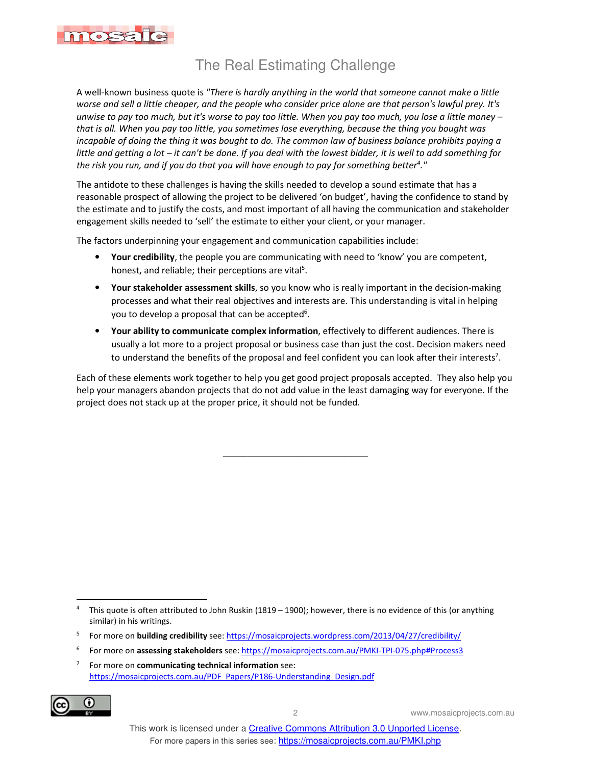

## The Real Estimating Challenge

A well-known business quote is *"There is hardly anything in the world that someone cannot make a little worse and sell a little cheaper, and the people who consider price alone are that person's lawful prey. It's unwise to pay too much, but it's worse to pay too little. When you pay too much, you lose a little money – that is all. When you pay too little, you sometimes lose everything, because the thing you bought was incapable of doing the thing it was bought to do. The common law of business balance prohibits paying a little and getting a lot – it can't be done. If you deal with the lowest bidder, it is well to add something for the risk you run, and if you do that you will have enough to pay for something better<sup>4</sup> ."* 

The antidote to these challenges is having the skills needed to develop a sound estimate that has a reasonable prospect of allowing the project to be delivered 'on budget', having the confidence to stand by the estimate and to justify the costs, and most important of all having the communication and stakeholder engagement skills needed to 'sell' the estimate to either your client, or your manager.

The factors underpinning your engagement and communication capabilities include:

- **Your credibility**, the people you are communicating with need to 'know' you are competent, honest, and reliable; their perceptions are vital<sup>5</sup>.
- **Your stakeholder assessment skills**, so you know who is really important in the decision-making processes and what their real objectives and interests are. This understanding is vital in helping you to develop a proposal that can be accepted<sup>6</sup>.
- **Your ability to communicate complex information**, effectively to different audiences. There is usually a lot more to a project proposal or business case than just the cost. Decision makers need to understand the benefits of the proposal and feel confident you can look after their interests<sup>7</sup>.

Each of these elements work together to help you get good project proposals accepted. They also help you help your managers abandon projects that do not add value in the least damaging way for everyone. If the project does not stack up at the proper price, it should not be funded.

\_\_\_\_\_\_\_\_\_\_\_\_\_\_\_\_\_\_\_\_\_\_\_\_\_\_\_\_\_

<sup>7</sup> For more on **communicating technical information** see: https://mosaicprojects.com.au/PDF\_Papers/P186-Understanding\_Design.pdf



2 www.mosaicprojects.com.au

<sup>4</sup> This quote is often attributed to John Ruskin (1819 – 1900); however, there is no evidence of this (or anything similar) in his writings.

<sup>5</sup> For more on **building credibility** see: https://mosaicprojects.wordpress.com/2013/04/27/credibility/

<sup>6</sup> For more on **assessing stakeholders** see: https://mosaicprojects.com.au/PMKI-TPI-075.php#Process3